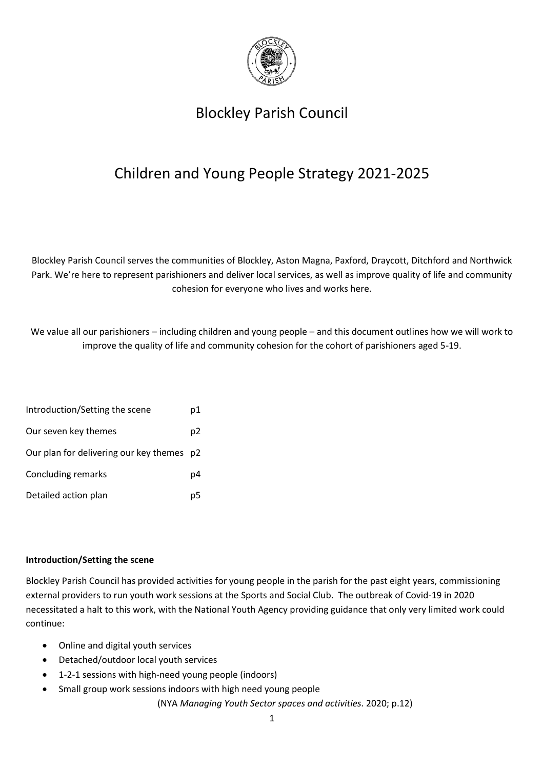

# Blockley Parish Council

# Children and Young People Strategy 2021-2025

Blockley Parish Council serves the communities of Blockley, Aston Magna, Paxford, Draycott, Ditchford and Northwick Park. We're here to represent parishioners and deliver local services, as well as improve quality of life and community cohesion for everyone who lives and works here.

We value all our parishioners – including children and young people – and this document outlines how we will work to improve the quality of life and community cohesion for the cohort of parishioners aged 5-19.

| Introduction/Setting the scene            | p1             |
|-------------------------------------------|----------------|
| Our seven key themes                      | p <sub>2</sub> |
| Our plan for delivering our key themes p2 |                |
| Concluding remarks                        | p4             |
| Detailed action plan                      | p5             |

#### **Introduction/Setting the scene**

Blockley Parish Council has provided activities for young people in the parish for the past eight years, commissioning external providers to run youth work sessions at the Sports and Social Club. The outbreak of Covid-19 in 2020 necessitated a halt to this work, with the National Youth Agency providing guidance that only very limited work could continue:

- Online and digital youth services
- Detached/outdoor local youth services
- 1-2-1 sessions with high-need young people (indoors)
- Small group work sessions indoors with high need young people

(NYA *Managing Youth Sector spaces and activities.* 2020; p.12)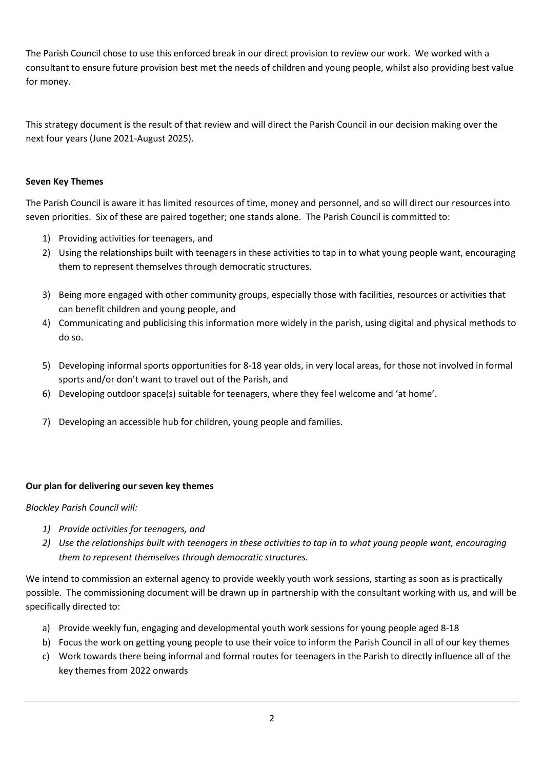The Parish Council chose to use this enforced break in our direct provision to review our work. We worked with a consultant to ensure future provision best met the needs of children and young people, whilst also providing best value for money.

This strategy document is the result of that review and will direct the Parish Council in our decision making over the next four years (June 2021-August 2025).

## **Seven Key Themes**

The Parish Council is aware it has limited resources of time, money and personnel, and so will direct our resources into seven priorities. Six of these are paired together; one stands alone. The Parish Council is committed to:

- 1) Providing activities for teenagers, and
- 2) Using the relationships built with teenagers in these activities to tap in to what young people want, encouraging them to represent themselves through democratic structures.
- 3) Being more engaged with other community groups, especially those with facilities, resources or activities that can benefit children and young people, and
- 4) Communicating and publicising this information more widely in the parish, using digital and physical methods to do so.
- 5) Developing informal sports opportunities for 8-18 year olds, in very local areas, for those not involved in formal sports and/or don't want to travel out of the Parish, and
- 6) Developing outdoor space(s) suitable for teenagers, where they feel welcome and 'at home'.
- 7) Developing an accessible hub for children, young people and families.

#### **Our plan for delivering our seven key themes**

#### *Blockley Parish Council will:*

- *1) Provide activities for teenagers, and*
- *2) Use the relationships built with teenagers in these activities to tap in to what young people want, encouraging them to represent themselves through democratic structures.*

We intend to commission an external agency to provide weekly youth work sessions, starting as soon as is practically possible. The commissioning document will be drawn up in partnership with the consultant working with us, and will be specifically directed to:

- a) Provide weekly fun, engaging and developmental youth work sessions for young people aged 8-18
- b) Focus the work on getting young people to use their voice to inform the Parish Council in all of our key themes
- c) Work towards there being informal and formal routes for teenagers in the Parish to directly influence all of the key themes from 2022 onwards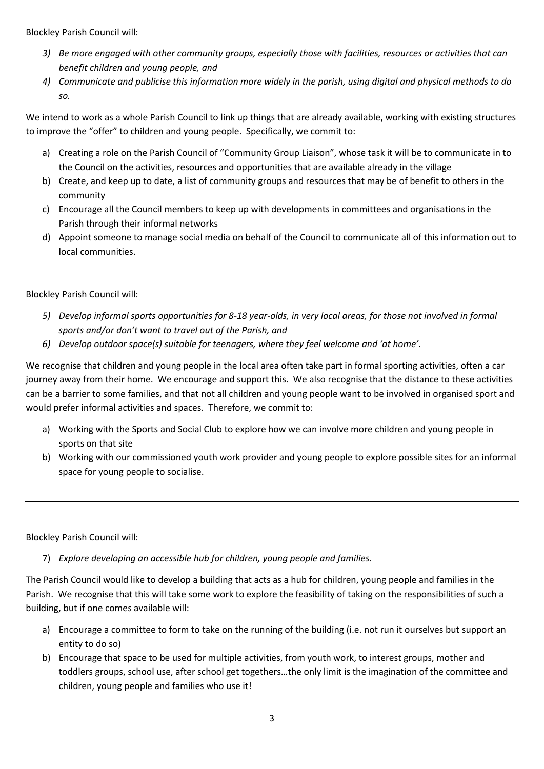Blockley Parish Council will:

- *3) Be more engaged with other community groups, especially those with facilities, resources or activities that can benefit children and young people, and*
- *4) Communicate and publicise this information more widely in the parish, using digital and physical methods to do so.*

We intend to work as a whole Parish Council to link up things that are already available, working with existing structures to improve the "offer" to children and young people. Specifically, we commit to:

- a) Creating a role on the Parish Council of "Community Group Liaison", whose task it will be to communicate in to the Council on the activities, resources and opportunities that are available already in the village
- b) Create, and keep up to date, a list of community groups and resources that may be of benefit to others in the community
- c) Encourage all the Council members to keep up with developments in committees and organisations in the Parish through their informal networks
- d) Appoint someone to manage social media on behalf of the Council to communicate all of this information out to local communities.

# Blockley Parish Council will:

- *5) Develop informal sports opportunities for 8-18 year-olds, in very local areas, for those not involved in formal sports and/or don't want to travel out of the Parish, and*
- *6) Develop outdoor space(s) suitable for teenagers, where they feel welcome and 'at home'.*

We recognise that children and young people in the local area often take part in formal sporting activities, often a car journey away from their home. We encourage and support this. We also recognise that the distance to these activities can be a barrier to some families, and that not all children and young people want to be involved in organised sport and would prefer informal activities and spaces. Therefore, we commit to:

- a) Working with the Sports and Social Club to explore how we can involve more children and young people in sports on that site
- b) Working with our commissioned youth work provider and young people to explore possible sites for an informal space for young people to socialise.

Blockley Parish Council will:

7) *Explore developing an accessible hub for children, young people and families*.

The Parish Council would like to develop a building that acts as a hub for children, young people and families in the Parish. We recognise that this will take some work to explore the feasibility of taking on the responsibilities of such a building, but if one comes available will:

- a) Encourage a committee to form to take on the running of the building (i.e. not run it ourselves but support an entity to do so)
- b) Encourage that space to be used for multiple activities, from youth work, to interest groups, mother and toddlers groups, school use, after school get togethers…the only limit is the imagination of the committee and children, young people and families who use it!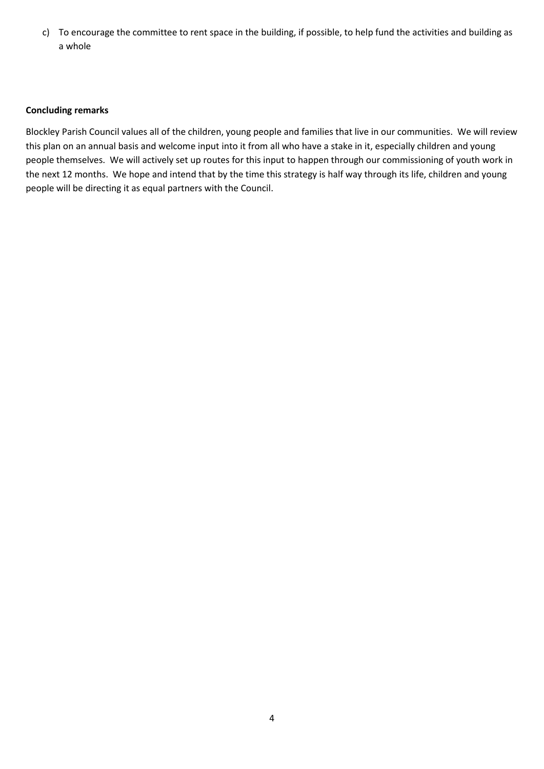c) To encourage the committee to rent space in the building, if possible, to help fund the activities and building as a whole

#### **Concluding remarks**

Blockley Parish Council values all of the children, young people and families that live in our communities. We will review this plan on an annual basis and welcome input into it from all who have a stake in it, especially children and young people themselves. We will actively set up routes for this input to happen through our commissioning of youth work in the next 12 months. We hope and intend that by the time this strategy is half way through its life, children and young people will be directing it as equal partners with the Council.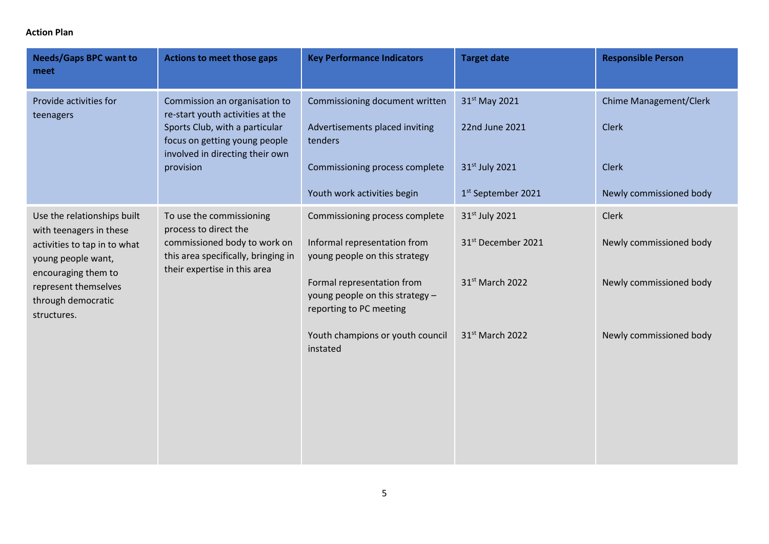## **Action Plan**

| <b>Needs/Gaps BPC want to</b><br>meet                                                                                                                                                            | Actions to meet those gaps                                                                                                                                                           | <b>Key Performance Indicators</b>                                                                                                                                                           | <b>Target date</b>                                                                  | <b>Responsible Person</b>                                                                |
|--------------------------------------------------------------------------------------------------------------------------------------------------------------------------------------------------|--------------------------------------------------------------------------------------------------------------------------------------------------------------------------------------|---------------------------------------------------------------------------------------------------------------------------------------------------------------------------------------------|-------------------------------------------------------------------------------------|------------------------------------------------------------------------------------------|
| Provide activities for<br>teenagers                                                                                                                                                              | Commission an organisation to<br>re-start youth activities at the<br>Sports Club, with a particular<br>focus on getting young people<br>involved in directing their own<br>provision | Commissioning document written<br>Advertisements placed inviting<br>tenders<br>Commissioning process complete<br>Youth work activities begin                                                | 31st May 2021<br>22nd June 2021<br>31st July 2021<br>1 <sup>st</sup> September 2021 | <b>Chime Management/Clerk</b><br><b>Clerk</b><br><b>Clerk</b><br>Newly commissioned body |
| Use the relationships built<br>with teenagers in these<br>activities to tap in to what<br>young people want,<br>encouraging them to<br>represent themselves<br>through democratic<br>structures. | To use the commissioning<br>process to direct the<br>commissioned body to work on<br>this area specifically, bringing in<br>their expertise in this area                             | Commissioning process complete<br>Informal representation from<br>young people on this strategy<br>Formal representation from<br>young people on this strategy -<br>reporting to PC meeting | 31st July 2021<br>31st December 2021<br>31 <sup>st</sup> March 2022                 | Clerk<br>Newly commissioned body<br>Newly commissioned body                              |
|                                                                                                                                                                                                  |                                                                                                                                                                                      | Youth champions or youth council<br>instated                                                                                                                                                | 31 <sup>st</sup> March 2022                                                         | Newly commissioned body                                                                  |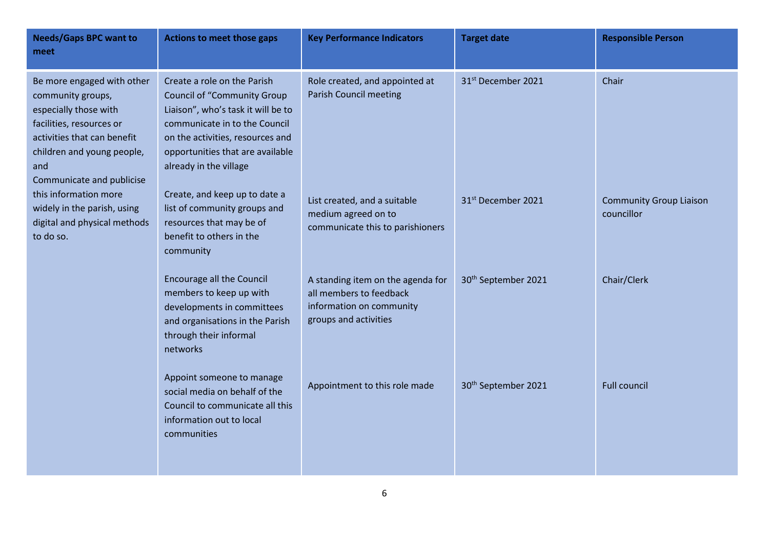| <b>Needs/Gaps BPC want to</b><br>meet                                                                                                                                                                                                                                                                      | <b>Actions to meet those gaps</b>                                                                                                                                                                                                          | <b>Key Performance Indicators</b>                                                                                 | <b>Target date</b>              | <b>Responsible Person</b>                    |
|------------------------------------------------------------------------------------------------------------------------------------------------------------------------------------------------------------------------------------------------------------------------------------------------------------|--------------------------------------------------------------------------------------------------------------------------------------------------------------------------------------------------------------------------------------------|-------------------------------------------------------------------------------------------------------------------|---------------------------------|----------------------------------------------|
| Be more engaged with other<br>community groups,<br>especially those with<br>facilities, resources or<br>activities that can benefit<br>children and young people,<br>and<br>Communicate and publicise<br>this information more<br>widely in the parish, using<br>digital and physical methods<br>to do so. | Create a role on the Parish<br><b>Council of "Community Group</b><br>Liaison", who's task it will be to<br>communicate in to the Council<br>on the activities, resources and<br>opportunities that are available<br>already in the village | Role created, and appointed at<br><b>Parish Council meeting</b>                                                   | 31st December 2021              | Chair                                        |
|                                                                                                                                                                                                                                                                                                            | Create, and keep up to date a<br>list of community groups and<br>resources that may be of<br>benefit to others in the<br>community                                                                                                         | List created, and a suitable<br>medium agreed on to<br>communicate this to parishioners                           | 31 <sup>st</sup> December 2021  | <b>Community Group Liaison</b><br>councillor |
|                                                                                                                                                                                                                                                                                                            | <b>Encourage all the Council</b><br>members to keep up with<br>developments in committees<br>and organisations in the Parish<br>through their informal<br>networks                                                                         | A standing item on the agenda for<br>all members to feedback<br>information on community<br>groups and activities | 30 <sup>th</sup> September 2021 | Chair/Clerk                                  |
|                                                                                                                                                                                                                                                                                                            | Appoint someone to manage<br>social media on behalf of the<br>Council to communicate all this<br>information out to local<br>communities                                                                                                   | Appointment to this role made                                                                                     | 30 <sup>th</sup> September 2021 | <b>Full council</b>                          |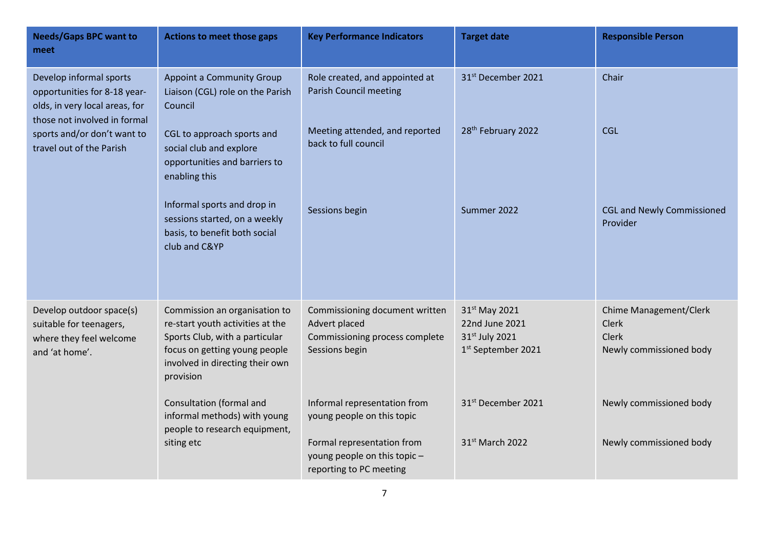| <b>Needs/Gaps BPC want to</b><br>meet                                                                                                                                                | <b>Actions to meet those gaps</b>                                                                                                                                                                                                                                                                            | <b>Key Performance Indicators</b>                                                                                                                                                                                                                          | <b>Target date</b>                                                                                                                                   | <b>Responsible Person</b>                                                                                                                      |
|--------------------------------------------------------------------------------------------------------------------------------------------------------------------------------------|--------------------------------------------------------------------------------------------------------------------------------------------------------------------------------------------------------------------------------------------------------------------------------------------------------------|------------------------------------------------------------------------------------------------------------------------------------------------------------------------------------------------------------------------------------------------------------|------------------------------------------------------------------------------------------------------------------------------------------------------|------------------------------------------------------------------------------------------------------------------------------------------------|
| Develop informal sports<br>opportunities for 8-18 year-<br>olds, in very local areas, for<br>those not involved in formal<br>sports and/or don't want to<br>travel out of the Parish | <b>Appoint a Community Group</b><br>Liaison (CGL) role on the Parish<br>Council<br>CGL to approach sports and<br>social club and explore<br>opportunities and barriers to<br>enabling this<br>Informal sports and drop in<br>sessions started, on a weekly<br>basis, to benefit both social<br>club and C&YP | Role created, and appointed at<br><b>Parish Council meeting</b><br>Meeting attended, and reported<br>back to full council<br>Sessions begin                                                                                                                | 31st December 2021<br>28 <sup>th</sup> February 2022<br>Summer 2022                                                                                  | Chair<br><b>CGL</b><br><b>CGL and Newly Commissioned</b><br>Provider                                                                           |
| Develop outdoor space(s)<br>suitable for teenagers,<br>where they feel welcome<br>and 'at home'.                                                                                     | Commission an organisation to<br>re-start youth activities at the<br>Sports Club, with a particular<br>focus on getting young people<br>involved in directing their own<br>provision<br>Consultation (formal and<br>informal methods) with young<br>people to research equipment,<br>siting etc              | Commissioning document written<br>Advert placed<br>Commissioning process complete<br>Sessions begin<br>Informal representation from<br>young people on this topic<br>Formal representation from<br>young people on this topic -<br>reporting to PC meeting | 31st May 2021<br>22nd June 2021<br>31st July 2021<br>1 <sup>st</sup> September 2021<br>31 <sup>st</sup> December 2021<br>31 <sup>st</sup> March 2022 | <b>Chime Management/Clerk</b><br><b>Clerk</b><br><b>Clerk</b><br>Newly commissioned body<br>Newly commissioned body<br>Newly commissioned body |